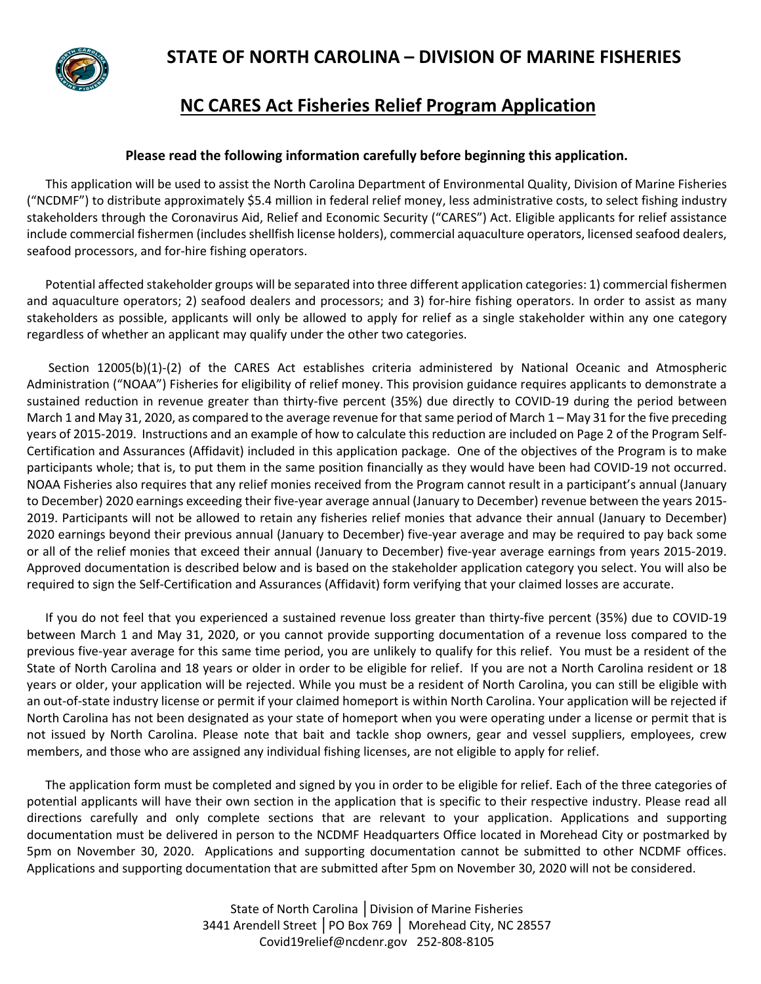

### **NC CARES Act Fisheries Relief Program Application**

#### **Please read the following information carefully before beginning this application.**

 This application will be used to assist the North Carolina Department of Environmental Quality, Division of Marine Fisheries ("NCDMF") to distribute approximately \$5.4 million in federal relief money, less administrative costs, to select fishing industry stakeholders through the Coronavirus Aid, Relief and Economic Security ("CARES") Act. Eligible applicants for relief assistance include commercial fishermen (includes shellfish license holders), commercial aquaculture operators, licensed seafood dealers, seafood processors, and for-hire fishing operators.

 Potential affected stakeholder groups will be separated into three different application categories: 1) commercial fishermen and aquaculture operators; 2) seafood dealers and processors; and 3) for-hire fishing operators. In order to assist as many stakeholders as possible, applicants will only be allowed to apply for relief as a single stakeholder within any one category regardless of whether an applicant may qualify under the other two categories.

 Section 12005(b)(1)-(2) of the CARES Act establishes criteria administered by National Oceanic and Atmospheric Administration ("NOAA") Fisheries for eligibility of relief money. This provision guidance requires applicants to demonstrate a sustained reduction in revenue greater than thirty-five percent (35%) due directly to COVID-19 during the period between March 1 and May 31, 2020, as compared to the average revenue for that same period of March 1 – May 31 for the five preceding years of 2015-2019. Instructions and an example of how to calculate this reduction are included on Page 2 of the Program Self-Certification and Assurances (Affidavit) included in this application package. One of the objectives of the Program is to make participants whole; that is, to put them in the same position financially as they would have been had COVID-19 not occurred. NOAA Fisheries also requires that any relief monies received from the Program cannot result in a participant's annual (January to December) 2020 earnings exceeding their five-year average annual (January to December) revenue between the years 2015- 2019. Participants will not be allowed to retain any fisheries relief monies that advance their annual (January to December) 2020 earnings beyond their previous annual (January to December) five-year average and may be required to pay back some or all of the relief monies that exceed their annual (January to December) five-year average earnings from years 2015-2019. Approved documentation is described below and is based on the stakeholder application category you select. You will also be required to sign the Self-Certification and Assurances (Affidavit) form verifying that your claimed losses are accurate.

 If you do not feel that you experienced a sustained revenue loss greater than thirty-five percent (35%) due to COVID-19 between March 1 and May 31, 2020, or you cannot provide supporting documentation of a revenue loss compared to the previous five-year average for this same time period, you are unlikely to qualify for this relief. You must be a resident of the State of North Carolina and 18 years or older in order to be eligible for relief. If you are not a North Carolina resident or 18 years or older, your application will be rejected. While you must be a resident of North Carolina, you can still be eligible with an out-of-state industry license or permit if your claimed homeport is within North Carolina. Your application will be rejected if North Carolina has not been designated as your state of homeport when you were operating under a license or permit that is not issued by North Carolina. Please note that bait and tackle shop owners, gear and vessel suppliers, employees, crew members, and those who are assigned any individual fishing licenses, are not eligible to apply for relief.

 The application form must be completed and signed by you in order to be eligible for relief. Each of the three categories of potential applicants will have their own section in the application that is specific to their respective industry. Please read all directions carefully and only complete sections that are relevant to your application. Applications and supporting documentation must be delivered in person to the NCDMF Headquarters Office located in Morehead City or postmarked by 5pm on November 30, 2020. Applications and supporting documentation cannot be submitted to other NCDMF offices. Applications and supporting documentation that are submitted after 5pm on November 30, 2020 will not be considered.

> State of North Carolina │Division of Marine Fisheries 3441 Arendell Street │PO Box 769 │ Morehead City, NC 28557 [Covid19relief@ncdenr.gov](mailto:Covid19relief@ncdenr.gov) 252-808-8105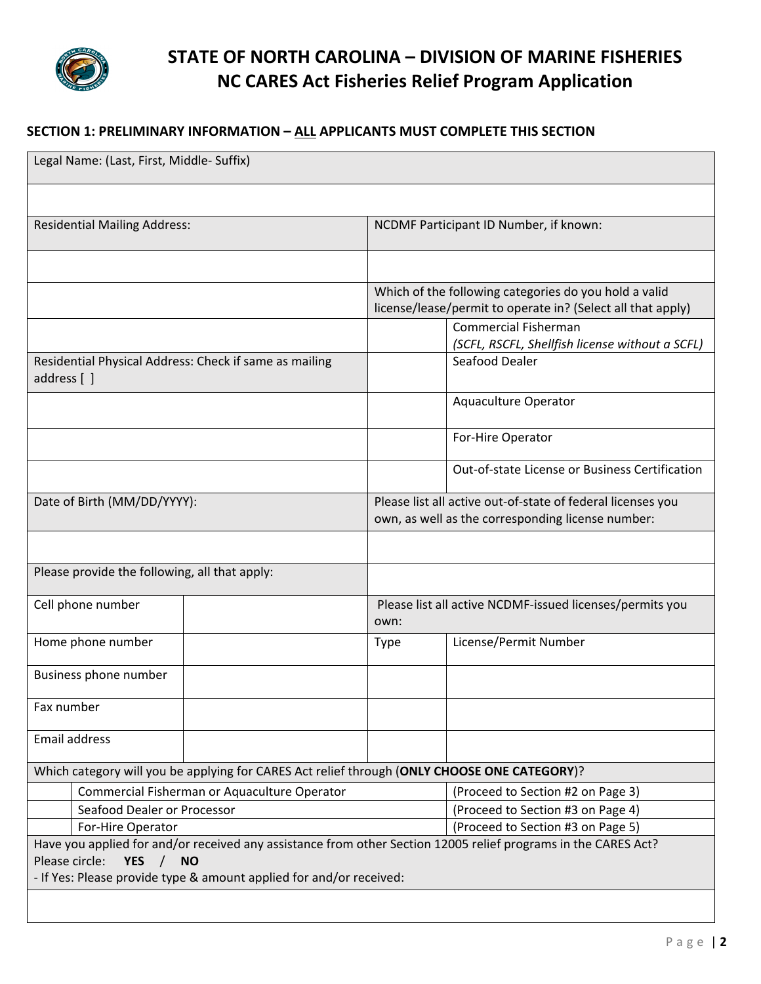

### **SECTION 1: PRELIMINARY INFORMATION – ALL APPLICANTS MUST COMPLETE THIS SECTION**

| Legal Name: (Last, First, Middle- Suffix)                                                                                                                   |                                                                                                                      |                                                                                |  |  |
|-------------------------------------------------------------------------------------------------------------------------------------------------------------|----------------------------------------------------------------------------------------------------------------------|--------------------------------------------------------------------------------|--|--|
|                                                                                                                                                             |                                                                                                                      |                                                                                |  |  |
| <b>Residential Mailing Address:</b>                                                                                                                         | NCDMF Participant ID Number, if known:                                                                               |                                                                                |  |  |
|                                                                                                                                                             |                                                                                                                      |                                                                                |  |  |
|                                                                                                                                                             | Which of the following categories do you hold a valid<br>license/lease/permit to operate in? (Select all that apply) |                                                                                |  |  |
|                                                                                                                                                             |                                                                                                                      | <b>Commercial Fisherman</b><br>(SCFL, RSCFL, Shellfish license without a SCFL) |  |  |
| Residential Physical Address: Check if same as mailing<br>address [ ]                                                                                       |                                                                                                                      | Seafood Dealer                                                                 |  |  |
|                                                                                                                                                             |                                                                                                                      | Aquaculture Operator                                                           |  |  |
|                                                                                                                                                             |                                                                                                                      | For-Hire Operator                                                              |  |  |
|                                                                                                                                                             |                                                                                                                      | Out-of-state License or Business Certification                                 |  |  |
| Date of Birth (MM/DD/YYYY):                                                                                                                                 | Please list all active out-of-state of federal licenses you<br>own, as well as the corresponding license number:     |                                                                                |  |  |
|                                                                                                                                                             |                                                                                                                      |                                                                                |  |  |
| Please provide the following, all that apply:                                                                                                               |                                                                                                                      |                                                                                |  |  |
| Cell phone number                                                                                                                                           | Please list all active NCDMF-issued licenses/permits you<br>own:                                                     |                                                                                |  |  |
| Home phone number                                                                                                                                           | <b>Type</b>                                                                                                          | License/Permit Number                                                          |  |  |
| Business phone number                                                                                                                                       |                                                                                                                      |                                                                                |  |  |
| Fax number                                                                                                                                                  |                                                                                                                      |                                                                                |  |  |
| <b>Email address</b>                                                                                                                                        |                                                                                                                      |                                                                                |  |  |
| Which category will you be applying for CARES Act relief through (ONLY CHOOSE ONE CATEGORY)?                                                                |                                                                                                                      |                                                                                |  |  |
| Commercial Fisherman or Aquaculture Operator                                                                                                                |                                                                                                                      | (Proceed to Section #2 on Page 3)                                              |  |  |
| Seafood Dealer or Processor                                                                                                                                 |                                                                                                                      | (Proceed to Section #3 on Page 4)                                              |  |  |
| (Proceed to Section #3 on Page 5)<br>For-Hire Operator                                                                                                      |                                                                                                                      |                                                                                |  |  |
| Have you applied for and/or received any assistance from other Section 12005 relief programs in the CARES Act?<br>Please circle:<br><b>YES</b><br><b>NO</b> |                                                                                                                      |                                                                                |  |  |
| - If Yes: Please provide type & amount applied for and/or received:                                                                                         |                                                                                                                      |                                                                                |  |  |
|                                                                                                                                                             |                                                                                                                      |                                                                                |  |  |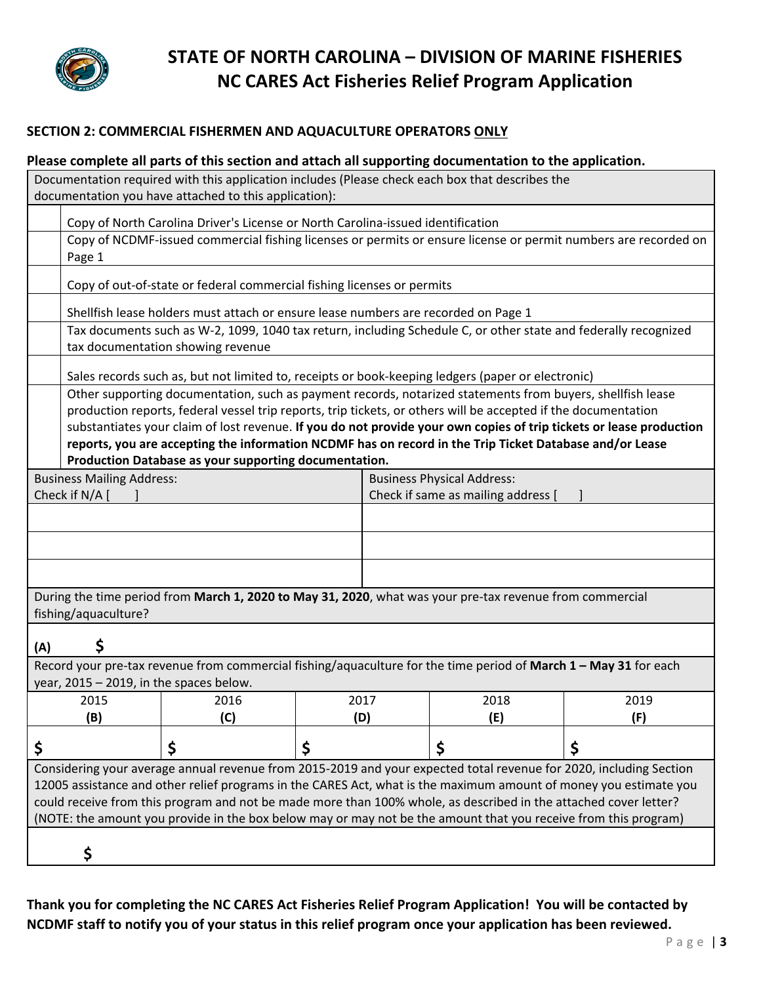

#### **SECTION 2: COMMERCIAL FISHERMEN AND AQUACULTURE OPERATORS ONLY**

| Please complete all parts of this section and attach all supporting documentation to the application.                                                    |                                                                                                                                                                                                                                                                                                                                                                                                                                                                |
|----------------------------------------------------------------------------------------------------------------------------------------------------------|----------------------------------------------------------------------------------------------------------------------------------------------------------------------------------------------------------------------------------------------------------------------------------------------------------------------------------------------------------------------------------------------------------------------------------------------------------------|
| Documentation required with this application includes (Please check each box that describes the<br>documentation you have attached to this application): |                                                                                                                                                                                                                                                                                                                                                                                                                                                                |
| Copy of North Carolina Driver's License or North Carolina-issued identification                                                                          |                                                                                                                                                                                                                                                                                                                                                                                                                                                                |
| Page 1                                                                                                                                                   | Copy of NCDMF-issued commercial fishing licenses or permits or ensure license or permit numbers are recorded on                                                                                                                                                                                                                                                                                                                                                |
| Copy of out-of-state or federal commercial fishing licenses or permits                                                                                   |                                                                                                                                                                                                                                                                                                                                                                                                                                                                |
| Shellfish lease holders must attach or ensure lease numbers are recorded on Page 1                                                                       |                                                                                                                                                                                                                                                                                                                                                                                                                                                                |
| tax documentation showing revenue                                                                                                                        | Tax documents such as W-2, 1099, 1040 tax return, including Schedule C, or other state and federally recognized                                                                                                                                                                                                                                                                                                                                                |
| Sales records such as, but not limited to, receipts or book-keeping ledgers (paper or electronic)                                                        |                                                                                                                                                                                                                                                                                                                                                                                                                                                                |
|                                                                                                                                                          | Other supporting documentation, such as payment records, notarized statements from buyers, shellfish lease<br>production reports, federal vessel trip reports, trip tickets, or others will be accepted if the documentation<br>substantiates your claim of lost revenue. If you do not provide your own copies of trip tickets or lease production<br>reports, you are accepting the information NCDMF has on record in the Trip Ticket Database and/or Lease |
| Production Database as your supporting documentation.                                                                                                    |                                                                                                                                                                                                                                                                                                                                                                                                                                                                |
| <b>Business Mailing Address:</b><br>Check if N/A [                                                                                                       | <b>Business Physical Address:</b><br>Check if same as mailing address [                                                                                                                                                                                                                                                                                                                                                                                        |
|                                                                                                                                                          |                                                                                                                                                                                                                                                                                                                                                                                                                                                                |
|                                                                                                                                                          |                                                                                                                                                                                                                                                                                                                                                                                                                                                                |
|                                                                                                                                                          |                                                                                                                                                                                                                                                                                                                                                                                                                                                                |
| During the time period from March 1, 2020 to May 31, 2020, what was your pre-tax revenue from commercial<br>fishing/aquaculture?                         |                                                                                                                                                                                                                                                                                                                                                                                                                                                                |
| \$<br>(A)                                                                                                                                                |                                                                                                                                                                                                                                                                                                                                                                                                                                                                |
| Record your pre-tax revenue from commercial fishing/aquaculture for the time period of March 1 - May 31 for each                                         |                                                                                                                                                                                                                                                                                                                                                                                                                                                                |
| year, 2015 - 2019, in the spaces below.                                                                                                                  |                                                                                                                                                                                                                                                                                                                                                                                                                                                                |

| 2015                                                                                                               | 2016 | 2017 | 2018 | 2019 |  |
|--------------------------------------------------------------------------------------------------------------------|------|------|------|------|--|
| (B)                                                                                                                |      | (D)  | (E)  | (F)  |  |
|                                                                                                                    |      |      |      |      |  |
| Considering your average annual revenue from 2015-2019 and your expected total revenue for 2020, including Section |      |      |      |      |  |
| 12005 assistance and other relief programs in the CARES Act, what is the maximum amount of money you estimate you  |      |      |      |      |  |
| could receive from this program and not be made more than 100% whole, as described in the attached cover letter?   |      |      |      |      |  |
| (NOTE: the amount you provide in the box below may or may not be the amount that you receive from this program)    |      |      |      |      |  |
|                                                                                                                    |      |      |      |      |  |
|                                                                                                                    |      |      |      |      |  |

**Thank you for completing the NC CARES Act Fisheries Relief Program Application! You will be contacted by NCDMF staff to notify you of your status in this relief program once your application has been reviewed.**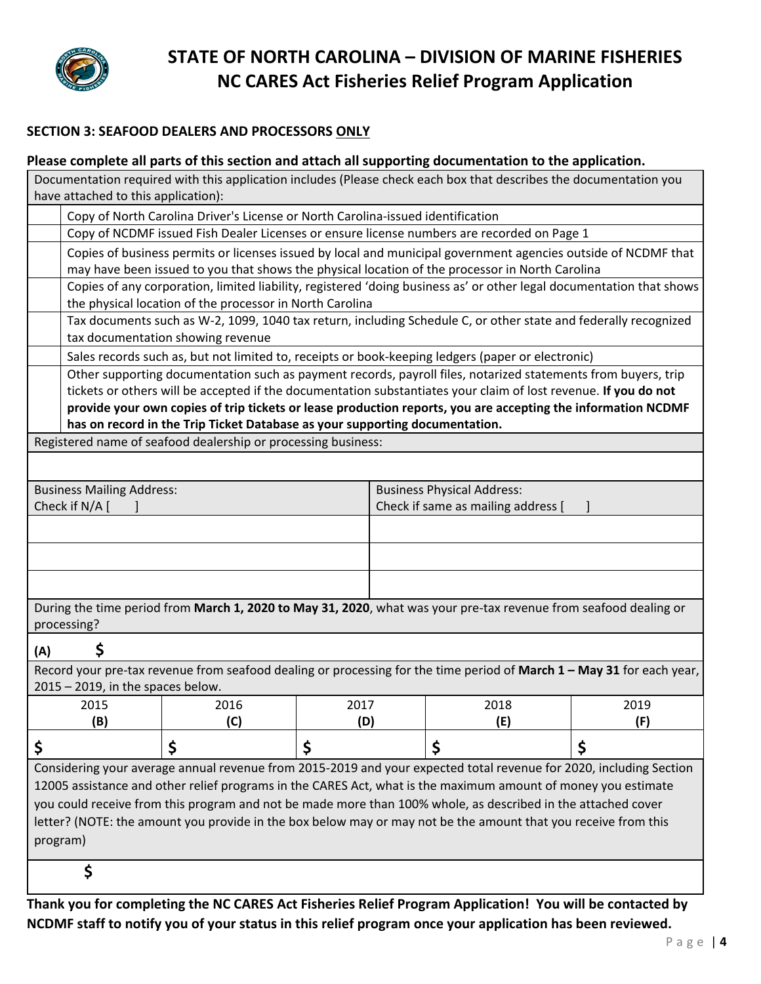

#### **SECTION 3: SEAFOOD DEALERS AND PROCESSORS ONLY**

|                                   | Please complete all parts of this section and attach all supporting documentation to the application.                                                                                                                                                                                                                                           |             |                                                                         |             |                                                                                                                                                                                                                               |  |
|-----------------------------------|-------------------------------------------------------------------------------------------------------------------------------------------------------------------------------------------------------------------------------------------------------------------------------------------------------------------------------------------------|-------------|-------------------------------------------------------------------------|-------------|-------------------------------------------------------------------------------------------------------------------------------------------------------------------------------------------------------------------------------|--|
|                                   | Documentation required with this application includes (Please check each box that describes the documentation you<br>have attached to this application):                                                                                                                                                                                        |             |                                                                         |             |                                                                                                                                                                                                                               |  |
|                                   | Copy of North Carolina Driver's License or North Carolina-issued identification                                                                                                                                                                                                                                                                 |             |                                                                         |             |                                                                                                                                                                                                                               |  |
|                                   | Copy of NCDMF issued Fish Dealer Licenses or ensure license numbers are recorded on Page 1                                                                                                                                                                                                                                                      |             |                                                                         |             |                                                                                                                                                                                                                               |  |
|                                   | Copies of business permits or licenses issued by local and municipal government agencies outside of NCDMF that<br>may have been issued to you that shows the physical location of the processor in North Carolina                                                                                                                               |             |                                                                         |             |                                                                                                                                                                                                                               |  |
|                                   | Copies of any corporation, limited liability, registered 'doing business as' or other legal documentation that shows<br>the physical location of the processor in North Carolina                                                                                                                                                                |             |                                                                         |             |                                                                                                                                                                                                                               |  |
|                                   | Tax documents such as W-2, 1099, 1040 tax return, including Schedule C, or other state and federally recognized<br>tax documentation showing revenue                                                                                                                                                                                            |             |                                                                         |             |                                                                                                                                                                                                                               |  |
|                                   | Sales records such as, but not limited to, receipts or book-keeping ledgers (paper or electronic)                                                                                                                                                                                                                                               |             |                                                                         |             |                                                                                                                                                                                                                               |  |
|                                   | tickets or others will be accepted if the documentation substantiates your claim of lost revenue. If you do not<br>has on record in the Trip Ticket Database as your supporting documentation.                                                                                                                                                  |             |                                                                         |             | Other supporting documentation such as payment records, payroll files, notarized statements from buyers, trip<br>provide your own copies of trip tickets or lease production reports, you are accepting the information NCDMF |  |
|                                   | Registered name of seafood dealership or processing business:                                                                                                                                                                                                                                                                                   |             |                                                                         |             |                                                                                                                                                                                                                               |  |
|                                   |                                                                                                                                                                                                                                                                                                                                                 |             |                                                                         |             |                                                                                                                                                                                                                               |  |
| <b>Business Mailing Address:</b>  |                                                                                                                                                                                                                                                                                                                                                 |             |                                                                         |             |                                                                                                                                                                                                                               |  |
| Check if N/A [                    |                                                                                                                                                                                                                                                                                                                                                 |             | <b>Business Physical Address:</b><br>Check if same as mailing address [ |             |                                                                                                                                                                                                                               |  |
|                                   |                                                                                                                                                                                                                                                                                                                                                 |             |                                                                         |             |                                                                                                                                                                                                                               |  |
|                                   |                                                                                                                                                                                                                                                                                                                                                 |             |                                                                         |             |                                                                                                                                                                                                                               |  |
| processing?                       | During the time period from March 1, 2020 to May 31, 2020, what was your pre-tax revenue from seafood dealing or                                                                                                                                                                                                                                |             |                                                                         |             |                                                                                                                                                                                                                               |  |
| \$<br>(A)                         |                                                                                                                                                                                                                                                                                                                                                 |             |                                                                         |             |                                                                                                                                                                                                                               |  |
| 2015 - 2019, in the spaces below. |                                                                                                                                                                                                                                                                                                                                                 |             |                                                                         |             | Record your pre-tax revenue from seafood dealing or processing for the time period of March 1 - May 31 for each year,                                                                                                         |  |
| 2015<br>(B)                       | 2016<br>(C)                                                                                                                                                                                                                                                                                                                                     | 2017<br>(D) |                                                                         | 2018<br>(E) | 2019<br>(F)                                                                                                                                                                                                                   |  |
| \$                                | \$                                                                                                                                                                                                                                                                                                                                              | \$          |                                                                         | \$          | \$                                                                                                                                                                                                                            |  |
| program)                          | 12005 assistance and other relief programs in the CARES Act, what is the maximum amount of money you estimate<br>you could receive from this program and not be made more than 100% whole, as described in the attached cover<br>letter? (NOTE: the amount you provide in the box below may or may not be the amount that you receive from this |             |                                                                         |             | Considering your average annual revenue from 2015-2019 and your expected total revenue for 2020, including Section                                                                                                            |  |
| \$                                |                                                                                                                                                                                                                                                                                                                                                 |             |                                                                         |             |                                                                                                                                                                                                                               |  |

**Thank you for completing the NC CARES Act Fisheries Relief Program Application! You will be contacted by NCDMF staff to notify you of your status in this relief program once your application has been reviewed.**